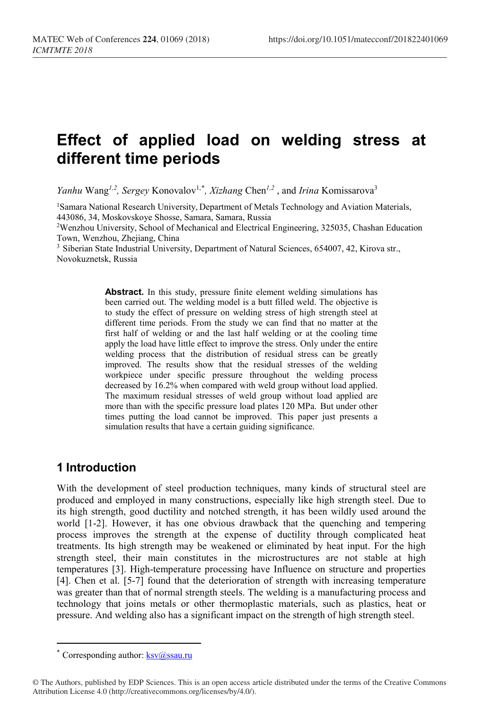# **Effect of applied load on welding stress at different time periods**

*Yanhu* Wang<sup>1,2</sup>, Sergey Konovalov<sup>1,[\\*](#page-0-0)</sup>, Xizhang Chen<sup>1,2</sup>, and *Irina* Komissarova<sup>3</sup>

1Samara National Research University, Department of Metals Technology and Aviation Materials, 443086, 34, Moskovskoye Shosse, Samara, Samara, Russia

2Wenzhou University, School of Mechanical and Electrical Engineering, 325035, Chashan Education Town, Wenzhou, Zhejiang, China

<sup>3</sup> Siberian State Industrial University, Department of Natural Sciences, 654007, 42, Kirova str., Novokuznetsk, Russia

> **Abstract.** In this study, pressure finite element welding simulations has been carried out. The welding model is a butt filled weld. The objective is to study the effect of pressure on welding stress of high strength steel at different time periods. From the study we can find that no matter at the first half of welding or and the last half welding or at the cooling time apply the load have little effect to improve the stress. Only under the entire welding process that the distribution of residual stress can be greatly improved. The results show that the residual stresses of the welding workpiece under specific pressure throughout the welding process decreased by 16.2% when compared with weld group without load applied. The maximum residual stresses of weld group without load applied are more than with the specific pressure load plates 120 MPa. But under other times putting the load cannot be improved. This paper just presents a simulation results that have a certain guiding significance.

### **1 Introduction**

With the development of steel production techniques, many kinds of structural steel are produced and employed in many constructions, especially like high strength steel. Due to its high strength, good ductility and notched strength, it has been wildly used around the world [1-2]. However, it has one obvious drawback that the quenching and tempering process improves the strength at the expense of ductility through complicated heat treatments. Its high strength may be weakened or eliminated by heat input. For the high strength steel, their main constitutes in the microstructures are not stable at high temperatures [3]. High-temperature processing have Influence on structure and properties [4]. Chen et al. [5-7] found that the deterioration of strength with increasing temperature was greater than that of normal strength steels. The welding is a manufacturing process and technology that joins metals or other thermoplastic materials, such as plastics, heat or pressure. And welding also has a significant impact on the strength of high strength steel.

 $\overline{a}$ 

<sup>\*</sup> Corresponding author:  $\frac{\text{ksv}(a)\text{ssau}}{a!}$ 

<span id="page-0-0"></span><sup>©</sup> The Authors, published by EDP Sciences. This is an open access article distributed under the terms of the Creative Commons Attribution License 4.0 (http://creativecommons.org/licenses/by/4.0/).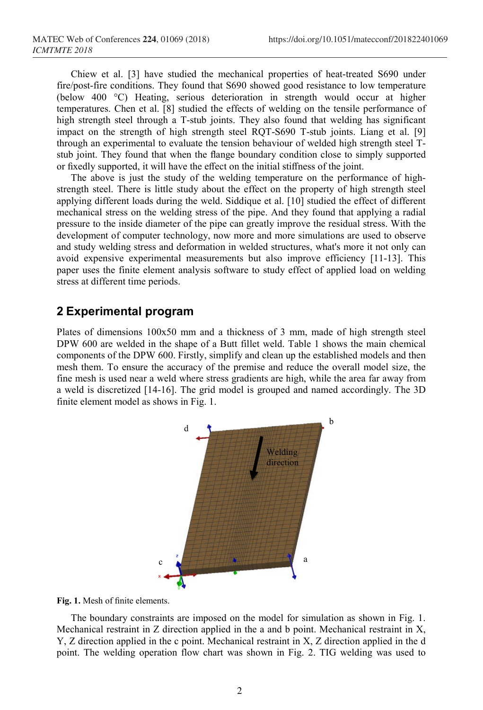Chiew et al. [3] have studied the mechanical properties of heat-treated S690 under fire/post-fire conditions. They found that S690 showed good resistance to low temperature (below 400 °C) Heating, serious deterioration in strength would occur at higher temperatures. Chen et al. [8] studied the effects of welding on the tensile performance of high strength steel through a T-stub joints. They also found that welding has significant impact on the strength of high strength steel RQT-S690 T-stub joints. Liang et al. [9] through an experimental to evaluate the tension behaviour of welded high strength steel Tstub joint. They found that when the flange boundary condition close to simply supported or fixedly supported, it will have the effect on the initial stiffness of the joint.

The above is just the study of the welding temperature on the performance of highstrength steel. There is little study about the effect on the property of high strength steel applying different loads during the weld. Siddique et al. [10] studied the effect of different mechanical stress on the welding stress of the pipe. And they found that applying a radial pressure to the inside diameter of the pipe can greatly improve the residual stress. With the development of computer technology, now more and more simulations are used to observe and study welding stress and deformation in welded structures, what's more it not only can avoid expensive experimental measurements but also improve efficiency [11-13]. This paper uses the finite element analysis software to study effect of applied load on welding stress at different time periods.

### **2 Experimental program**

Plates of dimensions 100x50 mm and a thickness of 3 mm, made of high strength steel DPW 600 are welded in the shape of a Butt fillet weld. Table 1 shows the main chemical components of the DPW 600. Firstly, simplify and clean up the established models and then mesh them. To ensure the accuracy of the premise and reduce the overall model size, the fine mesh is used near a weld where stress gradients are high, while the area far away from a weld is discretized [14-16]. The grid model is grouped and named accordingly. The 3D finite element model as shows in Fig. 1.



**Fig. 1.** Mesh of finite elements.

The boundary constraints are imposed on the model for simulation as shown in Fig. 1. Mechanical restraint in Z direction applied in the a and b point. Mechanical restraint in X, Y, Z direction applied in the c point. Mechanical restraint in X, Z direction applied in the d point. The welding operation flow chart was shown in Fig. 2. TIG welding was used to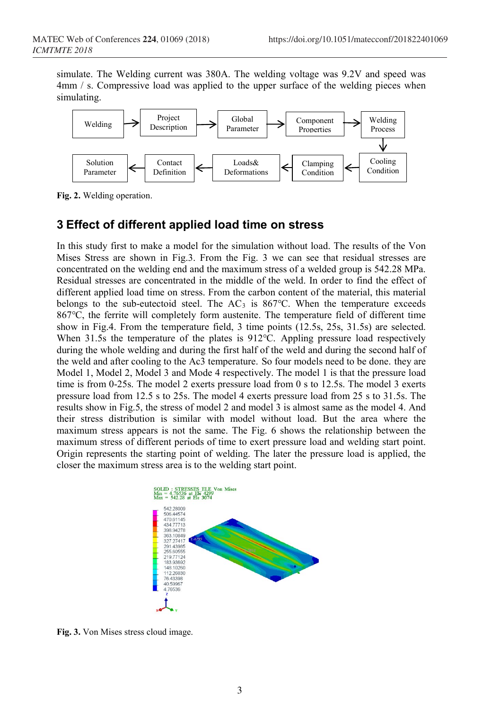simulate. The Welding current was 380A. The welding voltage was 9.2V and speed was 4mm / s. Compressive load was applied to the upper surface of the welding pieces when simulating.



**Fig. 2.** Welding operation.

# **3 Effect of different applied load time on stress**

In this study first to make a model for the simulation without load. The results of the Von Mises Stress are shown in Fig.3. From the Fig. 3 we can see that residual stresses are concentrated on the welding end and the maximum stress of a welded group is 542.28 MPa. Residual stresses are concentrated in the middle of the weld. In order to find the effect of different applied load time on stress. From the carbon content of the material, this material belongs to the sub-eutectoid steel. The  $AC<sub>3</sub>$  is 867°C. When the temperature exceeds 867℃, the ferrite will completely form austenite. The temperature field of different time show in Fig.4. From the temperature field, 3 time points (12.5s, 25s, 31.5s) are selected. When 31.5s the temperature of the plates is 912℃. Appling pressure load respectively during the whole welding and during the first half of the weld and during the second half of the weld and after cooling to the Ac3 temperature. So four models need to be done. they are Model 1, Model 2, Model 3 and Mode 4 respectively. The model 1 is that the pressure load time is from 0-25s. The model 2 exerts pressure load from 0 s to 12.5s. The model 3 exerts pressure load from 12.5 s to 25s. The model 4 exerts pressure load from 25 s to 31.5s. The results show in Fig.5, the stress of model 2 and model 3 is almost same as the model 4. And their stress distribution is similar with model without load. But the area where the maximum stress appears is not the same. The Fig. 6 shows the relationship between the maximum stress of different periods of time to exert pressure load and welding start point. Origin represents the starting point of welding. The later the pressure load is applied, the closer the maximum stress area is to the welding start point.



**Fig. 3.** Von Mises stress cloud image.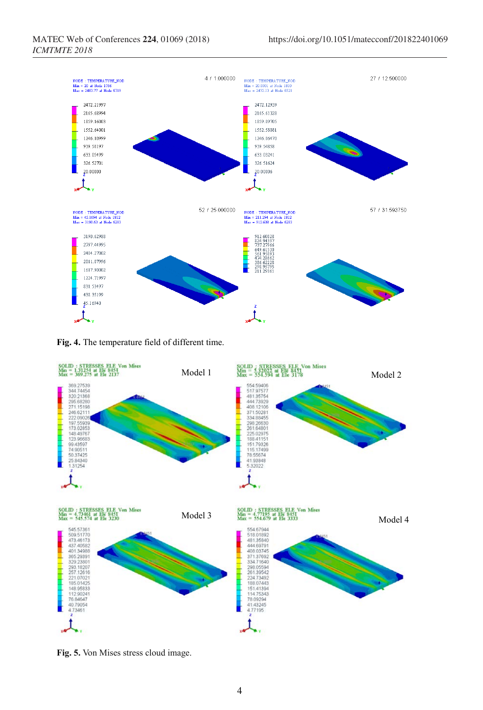

**Fig. 4.** The temperature field of different time.



**Fig. 5.** Von Mises stress cloud image.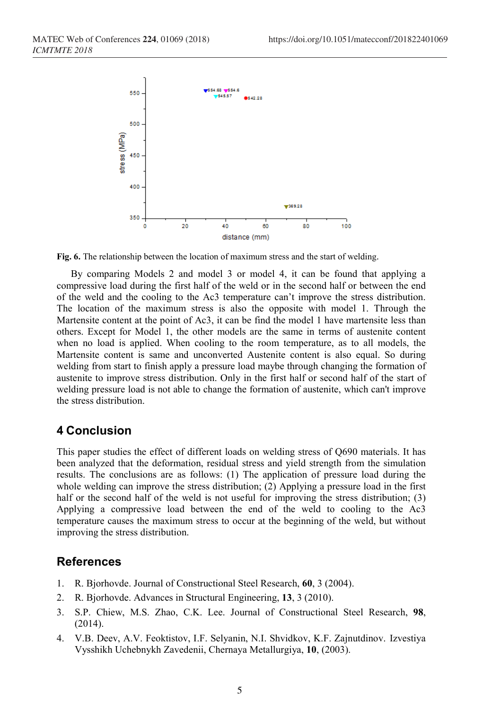

**Fig. 6.** The relationship between the location of maximum stress and the start of welding.

By comparing Models 2 and model 3 or model 4, it can be found that applying a compressive load during the first half of the weld or in the second half or between the end of the weld and the cooling to the Ac3 temperature can't improve the stress distribution. The location of the maximum stress is also the opposite with model 1. Through the Martensite content at the point of Ac3, it can be find the model 1 have martensite less than others. Except for Model 1, the other models are the same in terms of austenite content when no load is applied. When cooling to the room temperature, as to all models, the Martensite content is same and unconverted Austenite content is also equal. So during welding from start to finish apply a pressure load maybe through changing the formation of austenite to improve stress distribution. Only in the first half or second half of the start of welding pressure load is not able to change the formation of austenite, which can't improve the stress distribution.

# **4 Conclusion**

This paper studies the effect of different loads on welding stress of Q690 materials. It has been analyzed that the deformation, residual stress and yield strength from the simulation results. The conclusions are as follows: (1) The application of pressure load during the whole welding can improve the stress distribution; (2) Applying a pressure load in the first half or the second half of the weld is not useful for improving the stress distribution; (3) Applying a compressive load between the end of the weld to cooling to the Ac3 temperature causes the maximum stress to occur at the beginning of the weld, but without improving the stress distribution.

### **References**

- 1. R. Bjorhovde. Journal of Constructional Steel Research, **60**, 3 (2004).
- 2. R. Bjorhovde. Advances in Structural Engineering, **13**, 3 (2010).
- 3. S.P. Chiew, M.S. Zhao, C.K. Lee. Journal of Constructional Steel Research, **98**, (2014).
- 4. V.B. Deev, A.V. Feoktistov, I.F. Selyanin, N.I. Shvidkov, K.F. Zajnutdinov. Izvestiya Vysshikh Uchebnykh Zavedenii, Chernaya Metallurgiya, **10**, (2003).